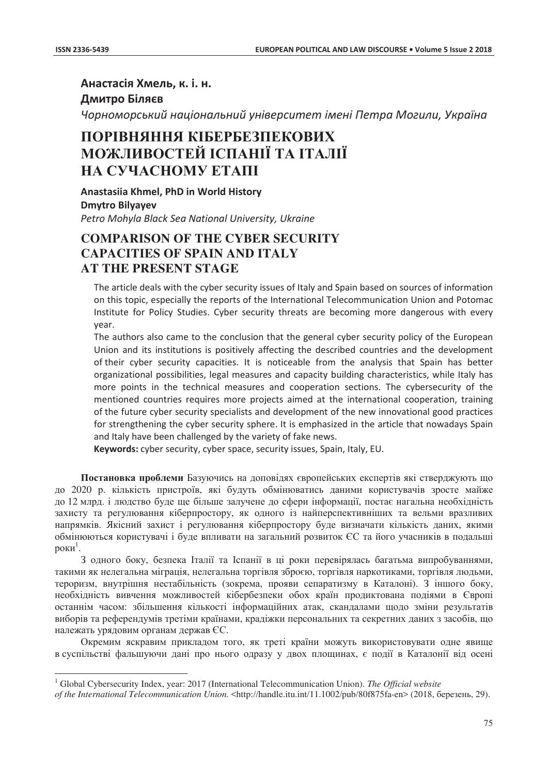$\overline{a}$ 

Анастасія Хмель, к. і. н. **Дмитро Біляєв** 

Чорноморський національний університет імені Петра Могили, Україна

## **ɉɈɊȱȼɇəɇɇə ɄȱȻȿɊȻȿɁɉȿɄɈȼɂɏ ɆɈɀɅɂȼɈɋɌȿɃ ȱɋɉȺɇȱȲ ɌȺ ȱɌȺɅȱȲ HA CYYACHOMY ETAIII**

**Anastasiia Khmel, PhD in World History Dmytro Bilyayev** Petro Mohyla Black Sea National University, Ukraine

## **COMPARISON OF THE CYBER SECURITY CAPACITIES OF SPAIN AND ITALY AT THE PRESENT STAGE**

The article deals with the cyber security issues of Italy and Spain based on sources of information on this topic, especially the reports of the International Telecommunication Union and Potomac Institute for Policy Studies. Cyber security threats are becoming more dangerous with every vear.

The authors also came to the conclusion that the general cyber security policy of the European Union and its institutions is positively affecting the described countries and the development of their cyber security capacities. It is noticeable from the analysis that Spain has better organizational possibilities, legal measures and capacity building characteristics, while Italy has more points in the technical measures and cooperation sections. The cybersecurity of the mentioned countries requires more proiects aimed at the international cooperation, training of the future cyber security specialists and development of the new innovational good practices for strengthening the cyber security sphere. It is emphasized in the article that nowadays Spain and Italy have been challenged by the variety of fake news.

Keywords: cyber security, cyber space, security issues, Spain, Italy, EU.

Постановка проблеми Базуючись на доповідях європейських експертів які стверджують що до 2020 р. кількість пристроїв, які будуть обмінюватись даними користувачів зросте майже до 12 млрд. і людство буде ще більше залучене до сфери інформації, постає нагальна необхідність захисту та регулювання кіберпростору, як одного із найперспективніших та вельми вразливих напрямків. Якісний захист і регулювання кіберпростору буде визначати кількість даних, якими обмінюються користувачі і буде впливати на загальний розвиток ЄС та його учасників в подальші роки $^{\rm l}$ .

3 одного боку, безпека Італії та Іспанії в ці роки перевірялась багатьма випробуваннями, такими як нелегальна міграція, нелегальна торгівля зброєю, торгівля наркотиками, торгівля людьми, тероризм, внутрішня нестабільність (зокрема, прояви сепаратизму в Каталоні). З іншого боку, необхідність вивчення можливостей кібербезпеки обох країн продиктована подіями в Європі останнім часом: збільшення кількості інформаційних атак, скандалами щодо зміни результатів виборів та референдумів третіми країнами, крадіжки персональних та секретних даних з засобів, що належать урядовим органам держав ЄС.

Окремим яскравим приклалом того, як треті країни можуть використовувати одне явище в суспільстві фальшуючи дані про нього одразу у двох площинах, є події в Каталонії від осені

<sup>&</sup>lt;sup>1</sup> Global Cybersecurity Index, year: 2017 (International Telecommunication Union). *The Official website* 

*of the International Telecommunication Union.* <http://handle.itu.int/11.1002/pub/80f875fa-en> (2018, березень, 29).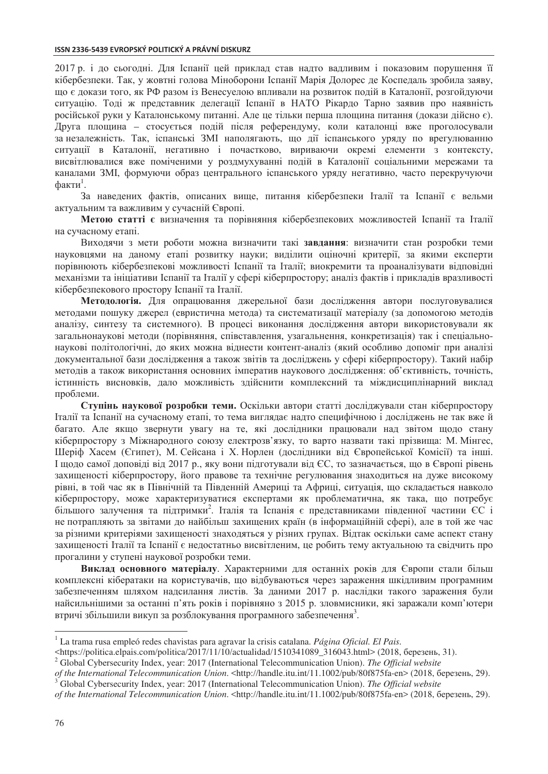2017 р. і до сьогодні. Для Іспанії цей приклад став надто вадливим і показовим порушення її кібербезпеки. Так, у жовтні голова Міноборони Іспанії Марія Долорес де Коспедаль зробила заяву, що є докази того, як РФ разом із Венесуелою впливали на розвиток подій в Каталонії, розгойдуючи ситуацію. Тоді ж представник делегації Іспанії в НАТО Рікардо Тарно заявив про наявність російської руки у Каталонському питанні. Але це тільки перша площина питання (докази дійсно є). Друга площина – стосується подій після референдуму, коли каталонці вже проголосували за незалежність. Так, іспанські ЗМІ наполягають, що дії іспанського уряду по врегулюванню ситуації в Каталонії, негативно і почастково, вириваючи окремі елементи з контексту, висвітлювалися вже поміченими у роздмухуванні подій в Каталонії соціальними мережами та каналами ЗМІ, формуючи образ центрального іспанського уряду негативно, часто перекручуючи факти<sup>1</sup>.

За наведених фактів, описаних вище, питання кібербезпеки Італії та Іспанії є вельми актуальним та важливим у сучасній Європі.

Метою статті є визначення та порівняння кібербезпекових можливостей Іспанії та Італії на сучасному етапі.

Виходячи з мети роботи можна визначити такі завдання: визначити стан розробки теми науковцями на даному етапі розвитку науки; виділити оціночні критерії, за якими експерти порівнюють кібербезпекові можливості Іспанії та Італії; виокремити та проаналізувати відповідні механізми та ініціативи Іспанії та Італії у сфері кіберпростору; аналіз фактів і прикладів вразливості кібербезпекового простору Іспанії та Італії.

Методологія. Для опрацювання джерельної бази дослідження автори послуговувалися методами пошуку джерел (евристична метода) та систематизації матеріалу (за допомогою методів аналізу, синтезу та системного). В процесі виконання дослідження автори використовували як загальнонаукові методи (порівняння, співставлення, узагальнення, конкретизація) так і спеціальнонаукові політологічні, до яких можна віднести контент-аналіз (який особливо допоміг при аналізі документальної бази дослідження а також звітів та досліджень у сфері кіберпростору). Такий набір методів а також використання основних імператив наукового дослідження: об'єктивність, точність, істинність висновків, дало можливість здійснити комплексний та міждисциплінарний виклад проблеми.

Ступінь наукової розробки теми. Оскільки автори статті досліджували стан кіберпростору Італії та Іспанії на сучасному етапі, то тема виглядає надто специфічною і досліджень не так вже й багато. Але якщо звернути увагу на те, які дослідники працювали над звітом щодо стану кіберпростору з Міжнародного союзу електрозв'язку, то варто назвати такі прізвища: М. Мінгес, Шеріф Хасем (Єгипет), М. Сейсана і Х. Норлен (дослідники від Європейської Комісії) та інші. I щодо самої доповіді від 2017 р., яку вони підготували від ЄС, то зазначається, що в Європі рівень захищеності кіберпростору, його правове та технічне регулювання знаходиться на дуже високому рівні, в той час як в Північній та Південній Америці та Африці, ситуація, що складається навколо кіберпростору, може характеризуватися експертами як проблематична, як така, що потребує більшого залучення та підтримки<sup>2</sup>. Італія та Іспанія є представниками південної частини ЄС і не потрапляють за звітами до найбільш захищених країн (в інформаційній сфері), але в той же час за різними критеріями захищеності знаходяться у різних групах. Відтак оскільки саме аспект стану захищеності Італії та Іспанії є недостатньо висвітленим, це робить тему актуальною та свідчить про прогалини у ступені наукової розробки теми.

Виклад основного матеріалу. Характерними для останніх років для Європи стали більш комплексні кібератаки на користувачів, що відбуваються через зараження шкідливим програмним забезпеченням шляхом надсилання листів. За даними 2017 р. наслідки такого зараження були найсильнішими за останні п'ять років і порівняно з 2015 р. зловмисники, які заражали комп'ютери втричі збільшили викуп за розблокування програмного забезпечення<sup>3</sup>.

 $\overline{a}$ 

<sup>1</sup> La trama rusa empleó redes chavistas para agravar la crisis catalana. *Página Oficial. El Pais.*

<sup>&</sup>lt;https://politica.elpais.com/politica/2017/11/10/actualidad/1510341089 316043.html> (2018, березень, 31).

<sup>&</sup>lt;sup>2</sup> Global Cybersecurity Index, year: 2017 (International Telecommunication Union). *The Official website* 

*of the International Telecommunication Union.* <http://handle.itu.int/11.1002/pub/80f875fa-en> (2018, березень, 29). Global Cybersecurity Index, year: 2017 (International Telecommunication Union). *The Official website* 

*of the International Telecommunication Union.* <http://handle.itu.int/11.1002/pub/80f875fa-en> (2018, березень, 29).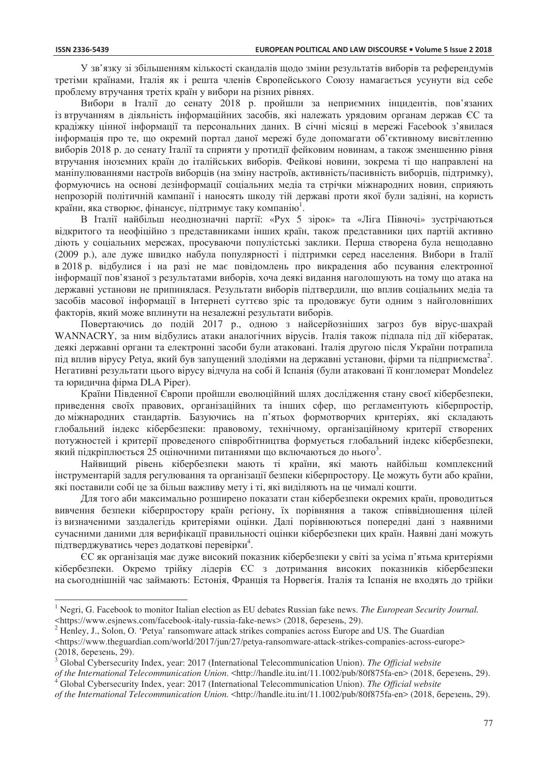$\overline{a}$ 

У зв'язку зі збільшенням кількості скандалів щодо зміни результатів виборів та референдумів третіми країнами, Італія як і решта членів Європейського Союзу намагається усунути від себе проблему втручання третіх країн у вибори на різних рівнях.

Вибори в Італії до сенату 2018 р. пройшли за неприємних інцидентів, пов'язаних із втручанням в діяльність інформаційних засобів, які належать урядовим органам держав ЄС та краліжку цінної інформації та персональних ланих. В січні місяці в мережі Facebook з'явилася нформація про те, що окремий портал даної мережі буде допомагати об'єктивному висвітленню виборів 2018 р. до сенату Італії та сприяти у протидії фейковим новинам, а також зменшенню рівня втручання іноземних країн до італійських виборів. Фейкові новини, зокрема ті що направлені на маніпулюваннями настроїв виборців (на зміну настроїв, активність/пасивність виборців, підтримку), формуючись на основі дезінформації соціальних медіа та стрічки міжнародних новин, сприяють непрозорій політичній кампанії і наносять шкоду тій державі проти якої були задіяні, на користь країни, яка створює, фінансує, підтримує таку компанію<sup>1</sup>.

В Італії найбільш неоднозначні партії: «Рух 5 зірок» та «Ліга Півночі» зустрічаються відкритого та неофіційно з представниками інших країн, також представники цих партій активно діють у соціальних мережах, просуваючи популістські заклики. Перша створена була нещодавно (2009 р.), але дуже швидко набула популярності і підтримки серед населення. Вибори в Італії в 2018 р. відбулися і на разі не має повідомлень про викрадення або псування електронної інформації пов'язаної з результатами виборів, хоча деякі видання наголошують на тому що атака на державні установи не припинялася. Результати виборів підтвердили, що вплив соціальних медіа та засобів масової інформації в Інтернеті суттєво зріс та продовжує бути одним з найголовніших факторів, який може вплинути на незалежні результати виборів.

Повертаючись до подій 2017 р., одною з найсерйозніших загроз був вірус-шахрай WANNACRY, за ним відбулись атаки аналогічних вірусів. Італія також підпала під дії кібератак, деякі державні органи та електронні засоби були атаковані. Італія другою після України потрапила під вплив вірусу Реtya, який був запущений злодіями на державні установи, фірми та підприємства<sup>2</sup>. Негативні результати цього вірусу відчула на собі й Іспанія (були атаковані її конгломерат Mondelez та юридична фірма DLA Piper).

Країни Південної Європи пройшли еволюційний шлях дослідження стану своєї кібербезпеки, приведення своїх правових, організаційних та інших сфер, що регламентують кіберпростір, до міжнародних стандартів. Базуючись на п'ятьох формотворчих критеріях, які складають глобальний індекс кібербезпеки: правовому, технічному, організаційному критерії створених потужностей і критерії проведеного співробітництва формується глобальний індекс кібербезпеки, який підкріплюється 25 оціночними питаннями що включаються до нього<sup>3</sup>.

Найвищий рівень кібербезпеки мають ті країни, які мають найбільш комплексний інструментарій задля регулювання та організації безпеки кіберпростору. Це можуть бути або країни, які поставили собі це за більш важливу мету і ті, які виділяють на це чималі кошти.

Для того аби максимально розширено показати стан кібербезпеки окремих країн, проводиться вивчення безпеки кіберпростору країн регіону, їх порівняння а також співвідношення цілей із визначеними заздалегідь критеріями оцінки. Далі порівнюються попередні дані з наявними сучасними даними для верифікації правильності оцінки кібербезпеки цих країн. Наявні дані можуть підтверджуватись через додаткові перевірки<sup>4</sup>.

ЄС як організація має дуже високий показник кібербезпеки у світі за усіма п'ятьма критеріями кібербезпеки. Окремо трійку лідерів ЄС з дотримання високих показників кібербезпеки на сьогоднішній час займають: Естонія, Франція та Норвегія. Італія та Іспанія не входять до трійки

<sup>&</sup>lt;sup>1</sup> Negri, G. Facebook to monitor Italian election as EU debates Russian fake news. The European Security Journal. <https://www.esjnews.com/facebook-italy-russia-fake-news> (2018, березень, 29).

 $2$  Henley, J., Solon, O. 'Petya' ransomware attack strikes companies across Europe and US. The Guardian <https://www.theguardian.com/world/2017/jun/27/petya-ransomware-attack-strikes-companies-across-europe> (2018, березень, 29).

Global Cybersecurity Index, year: 2017 (International Telecommunication Union). *The Official website of the International Telecommunication Union.* <http://handle.itu.int/11.1002/pub/80f875fa-en> (2018, березень, 29).

Global Cybersecurity Index, year: 2017 (International Telecommunication Union). *The Official website* 

*of the International Telecommunication Union.* <http://handle.itu.int/11.1002/pub/80f875fa-en> (2018, березень, 29).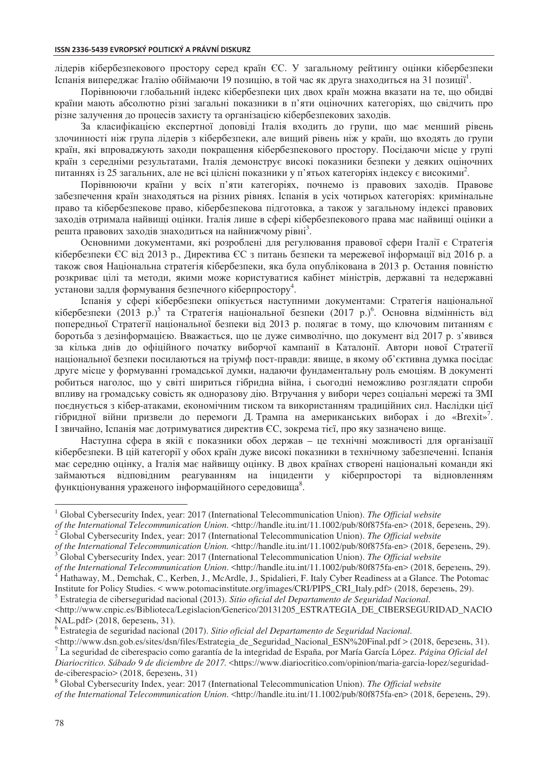лідерів кібербезпекового простору серед країн ЄС. У загальному рейтингу оцінки кібербезпеки Іспанія випереджає Італію обіймаючи 19 позицію, в той час як друга знаходиться на 31 позиції<sup>1</sup>.

Порівнюючи глобальний індекс кібербезпеки цих двох країн можна вказати на те, що обидві країни мають абсолютно різні загальні показники в п'яти оціночних категоріях, що свідчить про різне залучення до процесів захисту та організацією кібербезпекових заходів.

За класифікацією експертної доповіді Італія входить до групи, що має менший рівень злочинності ніж група лідерів з кібербезпеки, але вищий рівень ніж у країн, що входять до групи країн, які впроваджують заходи покращення кібербезпекового простору. Посідаючи місце у групі країн з середніми результатами, Італія демонструє високі показники безпеки у деяких оціночних питаннях із 25 загальних, але не всі цілісні показники у п'ятьох категоріях індексу є високими<sup>2</sup>.

Порівнюючи країни у всіх п'яти категоріях, почнемо із правових заходів. Правове забезпечення країн знаходяться на різних рівнях. Іспанія в усіх чотирьох категоріях: кримінальне право та кібербезпекове право, кібербезпекова підготовка, а також у загальному індексі правових заходів отримала найвищі оцінки. Італія лише в сфері кібербезпекового права має найвищі оцінки а решта правових заходів знаходиться на найнижчому рівні<sup>3</sup>.

Основними документами, які розроблені для регулювання правової сфери Італії є Стратегія кібербезпеки ЄС від 2013 р., Директива ЄС з питань безпеки та мережевої інформації від 2016 р. а також своя Національна стратегія кібербезпеки, яка була опублікована в 2013 р. Остання повністю розкриває цілі та методи, якими може користуватися кабінет міністрів, державні та недержавні установи задля формування безпечного кіберпростору $^4$ .

Іспанія у сфері кібербезпеки опікується наступними документами: Стратегія національної кібербезпеки (2013 р.)<sup>5</sup> та Стратегія національної безпеки (2017 р.)<sup>6</sup>. Основна відмінність від попередньої Стратегії національної безпеки від 2013 р. полягає в тому, що ключовим питанням є боротьба з дезінформацією. Вважається, що це дуже символічно, що документ від 2017 р. з'явився за кілька днів до офіційного початку виборчої кампанії в Каталонії. Автори нової Стратегії національної безпеки посилаються на тріумф пост-правди: явище, в якому об'єктивна думка посідає друге місце у формуванні громадської думки, надаючи фундаментальну роль емоціям. В документі робиться наголос, що у світі шириться гібридна війна, і сьогодні неможливо розглядати спроби впливу на громадську совість як одноразову дію. Втручання у вибори через соціальні мережі та ЗМІ поєднується з кібер-атаками, економічним тиском та використанням традиційних сил. Наслідки цієї гібридної війни призвели до перемоги Д. Трампа на американських виборах і до «Brexit»<sup>7</sup>. I звичайно, Іспанія має дотримуватися директив ЄС, зокрема тієї, про яку зазначено вище.

Наступна сфера в якій є показники обох держав – це технічні можливості для організації кібербезпеки. В цій категорії у обох країн дуже високі показники в технічному забезпеченні. Іспанія має середню оцінку, а Італія має найвищу оцінку. В двох країнах створені національні команди які займаються відповідним реагуванням на інциденти у кіберпросторі та відновленням функціонування ураженого інформаційного середовища $^8$ .

<sup>5</sup> ȿstrategia de ciberseguridad nacional (2013). *Sitio oficial del Departamento de Seguridad Nacional*.

 $\overline{a}$ 

<sup>&</sup>lt;sup>1</sup> Global Cybersecurity Index, year: 2017 (International Telecommunication Union). *The Official website* 

*of the International Telecommunication Union.* <http://handle.itu.int/11.1002/pub/80f875fa-en> (2018, березень, 29).

<sup>&</sup>lt;sup>2</sup> Global Cybersecurity Index, year: 2017 (International Telecommunication Union). *The Official website* 

*of the International Telecommunication Union.* <http://handle.itu.int/11.1002/pub/80f875fa-en> (2018, березень, 29). Global Cybersecurity Index, year: 2017 (International Telecommunication Union). *The Official website* 

*of the International Telecommunication Union.* <http://handle.itu.int/11.1002/pub/80f875fa-en> (2018, березень, 29). Hathaway, M., Demchak, C., Kerben, J., McArdle, J., Spidalieri, F. Italy Cyber Readiness at a Glance. The Potomac Institute for Policy Studies. < www.potomacinstitute.org/images/CRI/PIPS\_CRI\_Italy.pdf> (2018, березень, 29).

<sup>&</sup>lt;http://www.cnpic.es/Biblioteca/Legislacion/Generico/20131205\_ESTRATEGIA\_DE\_CIBERSEGURIDAD\_NACIO  $NAL.pdf$  (2018, березень, 31).

<sup>&</sup>lt;sup>6</sup> Estrategia de seguridad nacional (2017). Sitio oficial del Departamento de Seguridad Nacional.

<sup>&</sup>lt;http://www.dsn.gob.es/sites/dsn/files/Estrategia\_de\_Seguridad\_Nacional\_ESN%20Final.pdf > (2018, березень, 31). La seguridad de ciberespacio como garantía de la integridad de España, ɪor María García López. *Página Oficial del Diariocritico. Sábado 9 de diciembre de 2017.* <https://www.diariocritico.com/opinion/maria-garcia-lopez/seguridadde-ciberespacio> (2018, березень, 31)

Global Cybersecurity Index, year: 2017 (International Telecommunication Union). *The Official website of the International Telecommunication Union.* <http://handle.itu.int/11.1002/pub/80f875fa-en> (2018, березень, 29).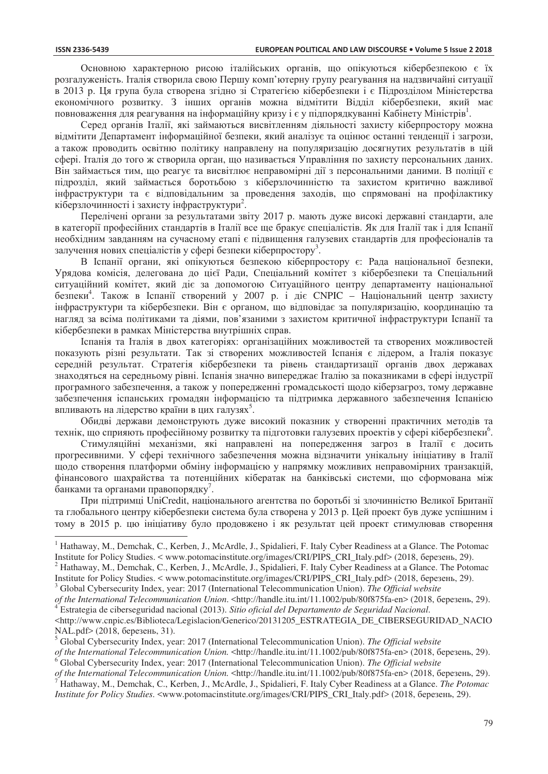$\overline{a}$ 

Основною характерною рисою італійських органів, що опікуються кібербезпекою є їх розгалуженість. Італія створила свою Першу комп'ютерну групу реагування на надзвичайні ситуації в 2013 р. Ця група була створена згідно зі Стратегією кібербезпеки і є Підрозділом Міністерства економічного розвитку. З інших органів можна відмітити Відділ кібербезпеки, який має повноваження для реагування на інформаційну кризу і є у підпорядкуванні Кабінету Міністрів $^{\rm l}$ .

Серед органів Італії, які займаються висвітленням діяльності захисту кіберпростору можна відмітити Департамент інформаційної безпеки, який аналізує та оцінює останні тенденції і загрози, а також проводить освітню політику направлену на популяризацію досягнутих результатів в цій сфері. Італія до того ж створила орган, що називається Управління по захисту персональних даних. Він займається тим, що реагує та висвітлює неправомірні лії з персональними ланими. В поліпії є підрозділ, який займається боротьбою з кіберзлочинністю та захистом критично важливої нфраструктури та є відповідальним за проведення заходів, що спрямовані на профілактику кіберзлочинності і захисту інфраструктури<sup>2</sup>.

Перелічені органи за результатами звіту 2017 р. мають дуже високі державні стандарти, але в категорії професійних стандартів в Італії все ще бракує спеціалістів. Як для Італії так і для Іспанії необхідним завданням на сучасному етапі є підвищення галузевих стандартів для професіоналів та залучення нових спеціалістів у сфері безпеки кіберпростору<sup>3</sup>.

В Іспанії органи, які опікуються безпекою кіберпростору є: Рада національної безпеки, Урядова комісія, делегована до цієї Ради, Спеціальний комітет з кібербезпеки та Спеціальний ситуаційний комітет, який діє за допомогою Ситуаційного центру департаменту національної безпеки<sup>4</sup>. Також в Іспанії створений у 2007 р. і діє СNPIC – Національний центр захисту  $i$ нфраструктури та кібербезпеки. Він є органом, що відповідає за популяризацію, координацію та нагляд за всіма політиками та діями, пов'язаними з захистом критичної інфраструктури Іспанії та кібербезпеки в рамках Міністерства внутрішніх справ.

Іспанія та Італія в двох категоріях: організаційних можливостей та створених можливостей показують різні результати. Так зі створених можливостей Іспанія є лідером, а Італія показує середній результат. Стратегія кібербезпеки та рівень стандартизації органів двох державах знаходяться на середньому рівні. Іспанія значно випереджає Італію за показниками в сфері індустрії програмного забезпечення, а також у попередженні громадськості щодо кіберзагроз, тому державне забезпечення іспанських громадян інформацією та підтримка державного забезпечення Іспанією впливають на лідерство країни в цих галузях<sup>5</sup>.

Обидві держави демонструють дуже високий показник у створенні практичних методів та технік, що сприяють професійному розвитку та підготовки галузевих проектів у сфері кібербезпеки<sup>6</sup>.

Стимуляційні механізми, які направлені на попередження загроз в Італії є досить прогресивними. У сфері технічного забезпечення можна відзначити унікальну ініціативу в Італії щодо створення платформи обміну інформацією у напрямку можливих неправомірних транзакцій, фінансового шахрайства та потенційних кібератак на банківські системи, що сформована між  $\tilde{6}$ анками та органами правопорядку<sup>7</sup>.

При пілтримці UniCredit, національного агентства по боротьбі зі злочинністю Великої Британії та глобального центру кібербезпеки система була створена у 2013 р. Цей проект був дуже успішним і тому в 2015 р. цю ініціативу було продовжено і як результат цей проект стимулював створення

<sup>&</sup>lt;sup>1</sup> Hathaway, M., Demchak, C., Kerben, J., McArdle, J., Spidalieri, F. Italy Cyber Readiness at a Glance. The Potomac Institute for Policy Studies. < www.potomacinstitute.org/images/CRI/PIPS\_CRI\_Italy.pdf> (2018, березень, 29).  $^2$  Hathaway, M., Demchak, C., Kerben, J., McArdle, J., Spidalieri, F. Italy Cyber Readiness at a Glance. The Potomac

Institute for Policy Studies. < www.potomacinstitute.org/images/CRI/PIPS\_CRI\_Italy.pdf> (2018, березень, 29). <sup>3</sup> Global Cybersecurity Index, year: 2017 (International Telecommunication Union). *The Official website* 

of the International Telecommunication Union. <http://handle.itu.int/11.1002/pub/80f875fa-en> (2018, березень, 29).<br><sup>4</sup> Estrategia de ciberseguridad nacional (2013). Sitio oficial del Departamento de Seguridad Nacional.

<sup>&</sup>lt;http://www.cnpic.es/Biblioteca/Legislacion/Generico/20131205\_ESTRATEGIA\_DE\_CIBERSEGURIDAD\_NACIO  $NAL.pdf$  (2018, березень, 31).

<sup>5</sup> Global Cybersecurity Index, year: 2017 (International Telecommunication Union). *The Official website* 

*of the International Telecommunication Union.* <http://handle.itu.int/11.1002/pub/80f875fa-en> (2018, березень, 29). 6 Global Cybersecurity Index, year: 2017 (International Telecommunication Union). *The Official website* 

*of the International Telecommunication Union.* <http://handle.itu.int/11.1002/pub/80f875fa-en> (2018, березень, 29).

Hathaway, M., Demchak, C., Kerben, J., McArdle, J., Spidalieri, F. Italy Cyber Readiness at a Glance. *The Potomac Institute for Policy Studies.* <www.potomacinstitute.org/images/CRI/PIPS\_CRI\_Italy.pdf> (2018, березень, 29).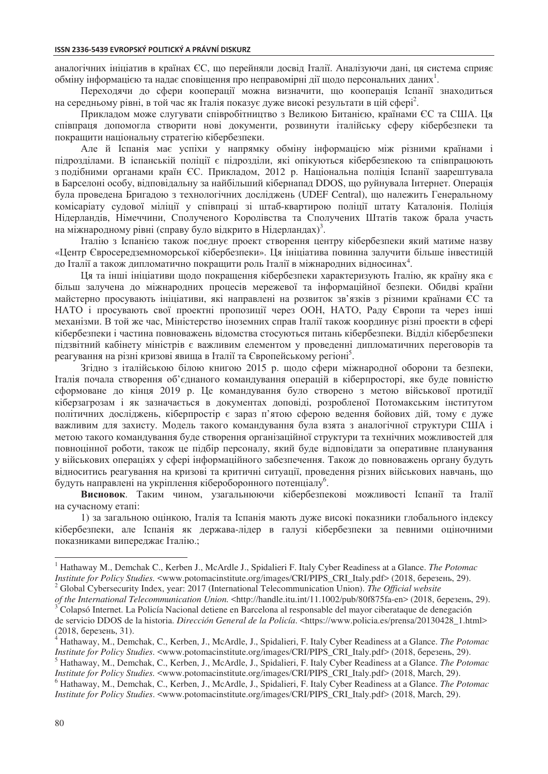аналогічних ініціатив в країнах ЄС, що перейняли досвід Італії. Аналізуючи дані, ця система сприяє обміну інформацією та надає сповіщення про неправомірні дії щодо персональних даних<sup>1</sup>.

Переходячи до сфери кооперації можна визначити, що кооперація Іспанії знаходиться на середньому рівні, в той час як Італія показує дуже високі результати в цій сфері<sup>2</sup>.

Прикладом може слугувати співробітництво з Великою Битанією, країнами ЄС та США. Ця співпраця допомогла створити нові документи, розвинути італійську сферу кібербезпеки та покращити національну стратегію кібербезпеки.

Але й Іспанія має успіхи у напрямку обміну інформацією між різними країнами і пілрозлілами. В іспанській поліції є пілрозліли, які опікуються кібербезпекою та співпрацюють з подібними органами країн ЄС. Прикладом, 2012 р. Національна поліція Іспанії заарештувала в Барселоні особу, відповідальну за найбільший кібернапад DDOS, що руйнувала Інтернет. Операція була проведена Бригадою з технологічних досліджень (UDEF Central), що належить Генеральному комісаріату судової міліції у співпраці зі штаб-квартирою поліції штату Каталонія. Поліція Нідерландів, Німеччини, Сполученого Королівства та Сполучених Штатів також брала участь на міжнародному рівні (справу було відкрито в Нідерландах)<sup>3</sup>.

Iталію з Іспанією також поєднує проект створення центру кібербезпеки який матиме назву «Центр Євросередземноморської кібербезпеки». Ця ініціатива повинна залучити більше інвестицій до Італії а також дипломатично покращити роль Італії в міжнародних відносинах<sup>4</sup>.

Ця та інші ініціативи щодо покращення кібербезпеки характеризують Італію, як країну яка є більш залучена до міжнародних процесів мережевої та інформаційної безпеки. Обидві країни майстерно просувають ініціативи, які направлені на розвиток зв'язків з різними країнами ЄС та НАТО і просувають свої проектні пропозиції через ООН, НАТО, Раду Європи та через інші механізми. В той же час, Міністерство іноземних справ Італії також координує різні проекти в сфері кібербезпеки і частина повноважень відомства стосуються питань кібербезпеки. Відділ кібербезпеки підзвітний кабінету міністрів є важливим елементом у проведенні дипломатичних переговорів та реагування на різні кризові явища в Італії та Європейському регіоні<sup>5</sup>.

Згідно з італійською білою книгою 2015 р. щодо сфери міжнародної оборони та безпеки, Iталія почала створення об'єднаного командування операцій в кіберпросторі, яке буде повністю сформоване до кінця 2019 р. Це командування було створено з метою військової протидії кіберзагрозам і як зазначається в документах доповіді, розробленої Потомакським інститутом політичних досліджень, кіберпростір є зараз п'ятою сферою ведення бойових дій, тому є дуже важливим для захисту. Модель такого командування була взята з аналогічної структури США і метою такого командування буде створення організаційної структури та технічних можливостей для повноцінної роботи, також це підбір персоналу, який буде відповідати за оперативне планування у військових операціях у сфері інформаційного забезпечення. Також до повноважень органу будуть відноситись реагування на кризові та критичні ситуації, проведення різних військових навчань, що будуть направлені на укріплення кібероборонного потенціалу<sup>6</sup>.

Висновок. Таким чином, узагальнюючи кібербезпекові можливості Іспанії та Італії на сучасному етапі:

1) за загальною оцінкою, Італія та Іспанія мають дуже високі показники глобального індексу кібербезпеки, але Іспанія як держава-лідер в галузі кібербезпеки за певними оціночними показниками випереджає Італію.;

 $\overline{a}$ 

<sup>&</sup>lt;sup>1</sup> Hathaway M., Demchak C., Kerben J., McArdle J., Spidalieri F. Italy Cyber Readiness at a Glance. *The Potomac Institute for Policy Studies.* <www.potomacinstitute.org/images/CRI/PIPS\_CRI\_Italy.pdf> (2018, березень, 29).

<sup>&</sup>lt;sup>2</sup> Global Cybersecurity Index, year: 2017 (International Telecommunication Union). *The Official website* 

*of the International Telecommunication Union.* <http://handle.itu.int/11.1002/pub/80f875fa-en> (2018, березень, 29). Colapsó Internet. La Policía Nacional detiene en Barcelona al responsable del mayor ciberataque de denegación de servicio DDOS de la historia. *Dirección General de la Policía*. <https://www.policia.es/prensa/20130428\_1.html>  $(2018, 6e$ резень, 31).

Hathaway, M., Demchak, C., Kerben, J., McArdle, J., Spidalieri, F. Italy Cyber Readiness at a Glance. *The Potomac Institute for Policy Studies.* <www.potomacinstitute.org/images/CRI/PIPS\_CRI\_Italy.pdf> (2018, березень, 29). 5 Hathaway, M., Demchak, C., Kerben, J., McArdle, J., Spidalieri, F. Italy Cyber Readiness at a Glance. *The Potomac* 

*Institute for Policy Studies.* <www.potomacinstitute.org/images/CRI/PIPS\_CRI\_Italy.pdf> (2018, March, 29). 6 Hathaway, M., Demchak, C., Kerben, J., McArdle, J., Spidalieri, F. Italy Cyber Readiness at a Glance. *The Potomac* 

*Institute for Policy Studies*. <www.potomacinstitute.org/images/CRI/PIPS\_CRI\_Italy.pdf> (2018, March, 29).